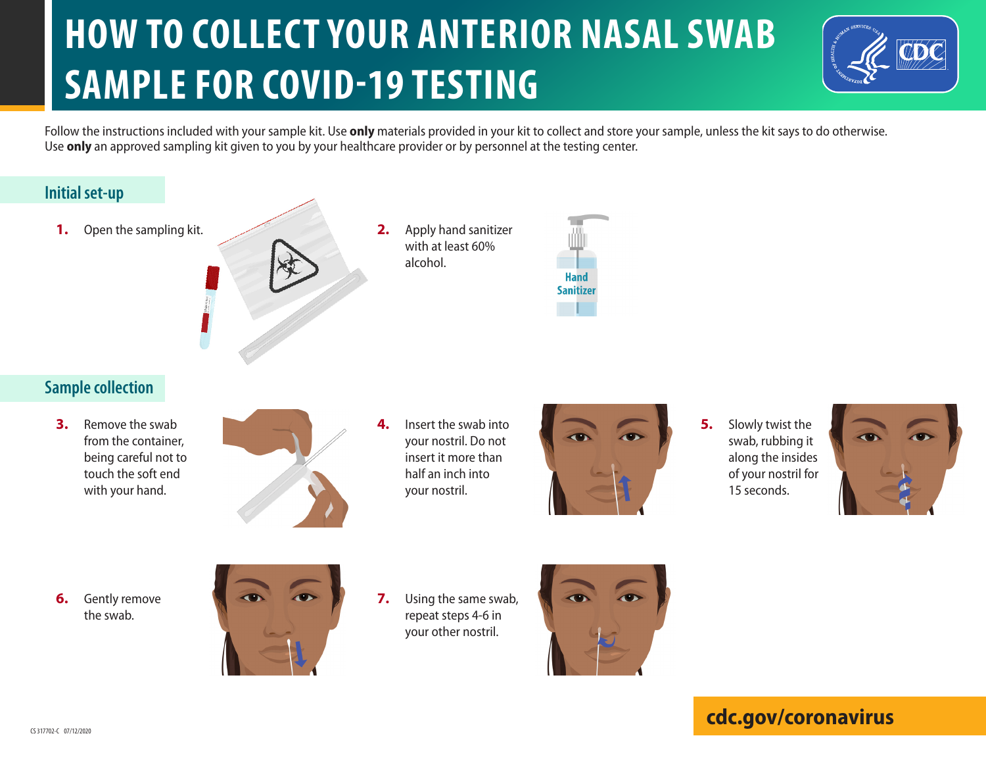# **HOW TO COLLECT YOUR ANTERIOR NASAL SWAB SAMPLE FOR COVID-19 TESTING**



Follow the instructions included with your sample kit. Use **only** materials provided in your kit to collect and store your sample, unless the kit says to do otherwise. Use **only** an approved sampling kit given to you by your healthcare provider or by personnel at the testing center.

#### **Initial set-up**

**1.** Open the sampling kit.



**2.** Apply hand sanitizer with at least 60% alcohol.



## **Sample collection**

**3.** Remove the swab from the container, being careful not to touch the soft end with your hand.



**4.** Insert the swab into your nostril. Do not insert it more than half an inch into your nostril.



**5.** Slowly twist the swab, rubbing it along the insides of your nostril for 15 seconds.



**6.** Gently remove the swab.



**7.** Using the same swab, repeat steps 4-6 in your other nostril.



## **cdc.gov/coronavirus**